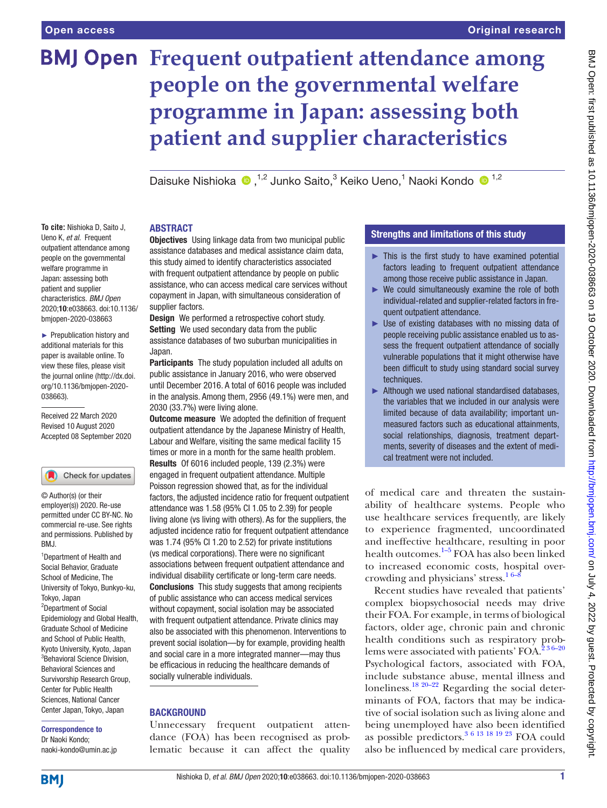**To cite:** Nishioka D, Saito J, Ueno K, *et al*. Frequent outpatient attendance among people on the governmental welfare programme in Japan: assessing both patient and supplier characteristics. *BMJ Open* 2020;10:e038663. doi:10.1136/ bmjopen-2020-038663 ► Prepublication history and additional materials for this paper is available online. To view these files, please visit the journal online (http://dx.doi. org/10.1136/bmjopen-2020-

# **BMJ Open Frequent outpatient attendance among people on the governmental welfare programme in Japan: assessing both patient and supplier characteristics**

Daisuke Nishioka  $\bullet$ ,<sup>1,2</sup> Junko Saito,<sup>3</sup> Keiko Ueno,<sup>1</sup> Naoki Kondo  $\bullet$ <sup>1,2</sup>

#### ABSTRACT

**Objectives** Using linkage data from two municipal public assistance databases and medical assistance claim data, this study aimed to identify characteristics associated with frequent outpatient attendance by people on public assistance, who can access medical care services without copayment in Japan, with simultaneous consideration of supplier factors.

**Design** We performed a retrospective cohort study. Setting We used secondary data from the public assistance databases of two suburban municipalities in Japan.

Participants The study population included all adults on public assistance in January 2016, who were observed until December 2016. A total of 6016 people was included in the analysis. Among them, 2956 (49.1%) were men, and 2030 (33.7%) were living alone.

**Outcome measure** We adopted the definition of frequent outpatient attendance by the Japanese Ministry of Health, Labour and Welfare, visiting the same medical facility 15 times or more in a month for the same health problem. Results Of 6016 included people, 139 (2.3%) were engaged in frequent outpatient attendance. Multiple Poisson regression showed that, as for the individual factors, the adjusted incidence ratio for frequent outpatient attendance was 1.58 (95% CI 1.05 to 2.39) for people living alone (vs living with others). As for the suppliers, the adjusted incidence ratio for frequent outpatient attendance was 1.74 (95% CI 1.20 to 2.52) for private institutions (vs medical corporations). There were no significant associations between frequent outpatient attendance and individual disability certificate or long-term care needs. Conclusions This study suggests that among recipients of public assistance who can access medical services without copayment, social isolation may be associated with frequent outpatient attendance. Private clinics may also be associated with this phenomenon. Interventions to prevent social isolation—by for example, providing health and social care in a more integrated manner—may thus be efficacious in reducing the healthcare demands of socially vulnerable individuals.

#### **BACKGROUND**

Unnecessary frequent outpatient attendance (FOA) has been recognised as problematic because it can affect the quality

#### Strengths and limitations of this study

- $\blacktriangleright$  This is the first study to have examined potential factors leading to frequent outpatient attendance among those receive public assistance in Japan.
- ► We could simultaneously examine the role of both individual-related and supplier-related factors in frequent outpatient attendance.
- $\blacktriangleright$  Use of existing databases with no missing data of people receiving public assistance enabled us to assess the frequent outpatient attendance of socially vulnerable populations that it might otherwise have been difficult to study using standard social survey techniques.
- ► Although we used national standardised databases, the variables that we included in our analysis were limited because of data availability; important unmeasured factors such as educational attainments, social relationships, diagnosis, treatment departments, severity of diseases and the extent of medical treatment were not included.

of medical care and threaten the sustainability of healthcare systems. People who use healthcare services frequently, are likely to experience fragmented, uncoordinated and ineffective healthcare, resulting in poor health outcomes.[1–5](#page-6-0) FOA has also been linked to increased economic costs, hospital overcrowding and physicians' stress.<sup>16–9</sup>

Recent studies have revealed that patients' complex biopsychosocial needs may drive their FOA. For example, in terms of biological factors, older age, chronic pain and chronic health conditions such as respiratory problems were associated with patients' FOA.<sup>236-20</sup> Psychological factors, associated with FOA, include substance abuse, mental illness and loneliness.<sup>18 20–22</sup> Regarding the social determinants of FOA, factors that may be indicative of social isolation such as living alone and being unemployed have also been identified as possible predictors. $3 \times 19 \times 19 \times 23$  FOA could also be influenced by medical care providers,

#### permitted under CC BY-NC. No commercial re-use. See rights and permissions. Published by

Check for updates

© Author(s) (or their employer(s)) 2020. Re-use

BMJ.

Received 22 March 2020 Revised 10 August 2020 Accepted 08 September 2020

038663).

<sup>1</sup>Department of Health and Social Behavior, Graduate School of Medicine, The University of Tokyo, Bunkyo-ku, Tokyo, Japan <sup>2</sup>Department of Social Epidemiology and Global Health, Graduate School of Medicine and School of Public Health, Kyoto University, Kyoto, Japan 3 Behavioral Science Division, Behavioral Sciences and Survivorship Research Group, Center for Public Health Sciences, National Cancer Center Japan, Tokyo, Japan

Correspondence to Dr Naoki Kondo; naoki-kondo@umin.ac.jp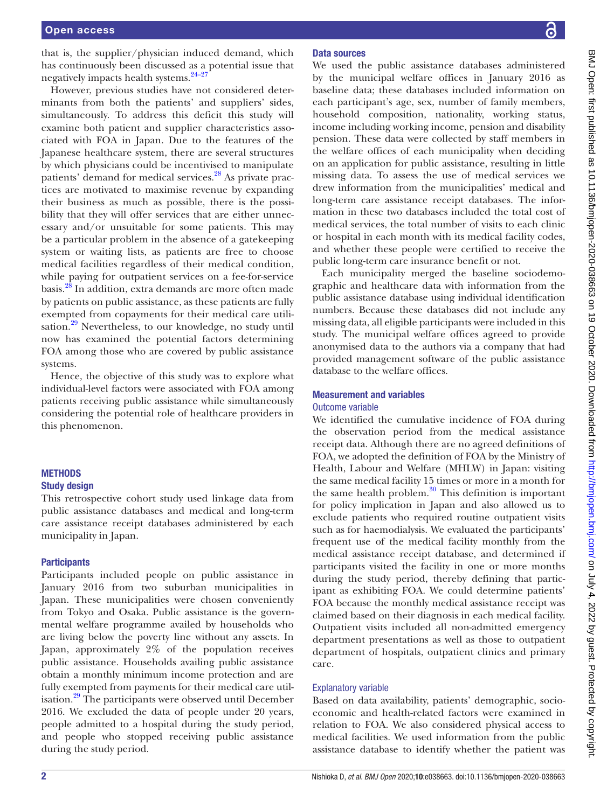that is, the supplier/physician induced demand, which has continuously been discussed as a potential issue that negatively impacts health systems.<sup>24-27</sup>

However, previous studies have not considered determinants from both the patients' and suppliers' sides, simultaneously. To address this deficit this study will examine both patient and supplier characteristics associated with FOA in Japan. Due to the features of the Japanese healthcare system, there are several structures by which physicians could be incentivised to manipulate patients' demand for medical services.<sup>[28](#page-6-5)</sup> As private practices are motivated to maximise revenue by expanding their business as much as possible, there is the possibility that they will offer services that are either unnecessary and/or unsuitable for some patients. This may be a particular problem in the absence of a gatekeeping system or waiting lists, as patients are free to choose medical facilities regardless of their medical condition, while paying for outpatient services on a fee-for-service basis.[28](#page-6-5) In addition, extra demands are more often made by patients on public assistance, as these patients are fully exempted from copayments for their medical care utili-sation.<sup>[29](#page-6-6)</sup> Nevertheless, to our knowledge, no study until now has examined the potential factors determining FOA among those who are covered by public assistance systems.

Hence, the objective of this study was to explore what individual-level factors were associated with FOA among patients receiving public assistance while simultaneously considering the potential role of healthcare providers in this phenomenon.

### METHODS

#### Study design

This retrospective cohort study used linkage data from public assistance databases and medical and long-term care assistance receipt databases administered by each municipality in Japan.

#### **Participants**

Participants included people on public assistance in January 2016 from two suburban municipalities in Japan. These municipalities were chosen conveniently from Tokyo and Osaka. Public assistance is the governmental welfare programme availed by households who are living below the poverty line without any assets. In Japan, approximately 2% of the population receives public assistance. Households availing public assistance obtain a monthly minimum income protection and are fully exempted from payments for their medical care utilisation.<sup>29</sup> The participants were observed until December 2016. We excluded the data of people under 20 years, people admitted to a hospital during the study period, and people who stopped receiving public assistance during the study period.

#### Data sources

We used the public assistance databases administered by the municipal welfare offices in January 2016 as baseline data; these databases included information on each participant's age, sex, number of family members, household composition, nationality, working status, income including working income, pension and disability pension. These data were collected by staff members in the welfare offices of each municipality when deciding on an application for public assistance, resulting in little missing data. To assess the use of medical services we drew information from the municipalities' medical and long-term care assistance receipt databases. The information in these two databases included the total cost of medical services, the total number of visits to each clinic or hospital in each month with its medical facility codes, and whether these people were certified to receive the public long-term care insurance benefit or not.

Each municipality merged the baseline sociodemographic and healthcare data with information from the public assistance database using individual identification numbers. Because these databases did not include any missing data, all eligible participants were included in this study. The municipal welfare offices agreed to provide anonymised data to the authors via a company that had provided management software of the public assistance database to the welfare offices.

## Measurement and variables

#### Outcome variable

We identified the cumulative incidence of FOA during the observation period from the medical assistance receipt data. Although there are no agreed definitions of FOA, we adopted the definition of FOA by the Ministry of Health, Labour and Welfare (MHLW) in Japan: visiting the same medical facility 15 times or more in a month for the same health problem. $30$  This definition is important for policy implication in Japan and also allowed us to exclude patients who required routine outpatient visits such as for haemodialysis. We evaluated the participants' frequent use of the medical facility monthly from the medical assistance receipt database, and determined if participants visited the facility in one or more months during the study period, thereby defining that participant as exhibiting FOA. We could determine patients' FOA because the monthly medical assistance receipt was claimed based on their diagnosis in each medical facility. Outpatient visits included all non-admitted emergency department presentations as well as those to outpatient department of hospitals, outpatient clinics and primary care.

#### Explanatory variable

Based on data availability, patients' demographic, socioeconomic and health-related factors were examined in relation to FOA. We also considered physical access to medical facilities. We used information from the public assistance database to identify whether the patient was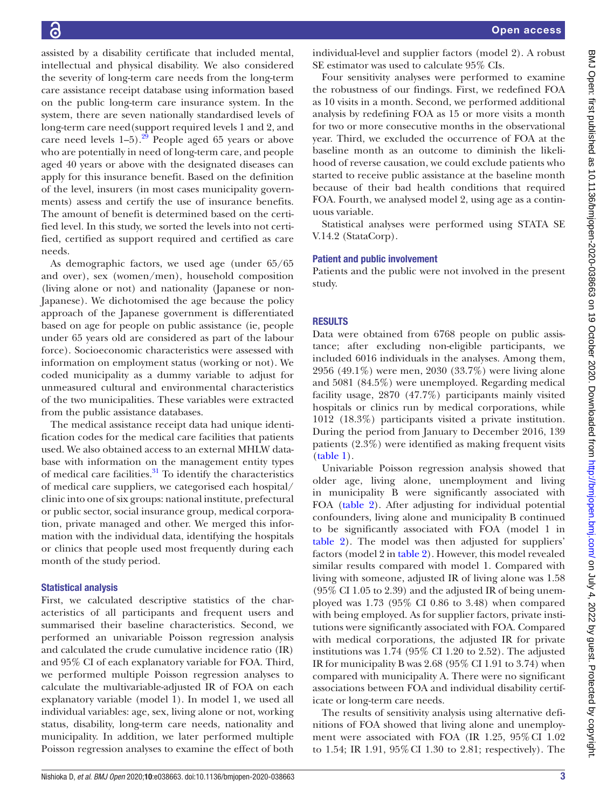assisted by a disability certificate that included mental, intellectual and physical disability. We also considered the severity of long-term care needs from the long-term care assistance receipt database using information based on the public long-term care insurance system. In the system, there are seven nationally standardised levels of long-term care need(support required levels 1 and 2, and care need levels  $1-5$ .<sup>29</sup> People aged 65 years or above who are potentially in need of long-term care, and people aged 40 years or above with the designated diseases can apply for this insurance benefit. Based on the definition of the level, insurers (in most cases municipality governments) assess and certify the use of insurance benefits. The amount of benefit is determined based on the certified level. In this study, we sorted the levels into not certified, certified as support required and certified as care needs.

As demographic factors, we used age (under 65/65 and over), sex (women/men), household composition (living alone or not) and nationality (Japanese or non-Japanese). We dichotomised the age because the policy approach of the Japanese government is differentiated based on age for people on public assistance (ie, people under 65 years old are considered as part of the labour force). Socioeconomic characteristics were assessed with information on employment status (working or not). We coded municipality as a dummy variable to adjust for unmeasured cultural and environmental characteristics of the two municipalities. These variables were extracted from the public assistance databases.

The medical assistance receipt data had unique identification codes for the medical care facilities that patients used. We also obtained access to an external MHLW database with information on the management entity types of medical care facilities.<sup>[31](#page-6-8)</sup> To identify the characteristics of medical care suppliers, we categorised each hospital/ clinic into one of six groups: national institute, prefectural or public sector, social insurance group, medical corporation, private managed and other. We merged this information with the individual data, identifying the hospitals or clinics that people used most frequently during each month of the study period.

#### Statistical analysis

First, we calculated descriptive statistics of the characteristics of all participants and frequent users and summarised their baseline characteristics. Second, we performed an univariable Poisson regression analysis and calculated the crude cumulative incidence ratio (IR) and 95% CI of each explanatory variable for FOA. Third, we performed multiple Poisson regression analyses to calculate the multivariable-adjusted IR of FOA on each explanatory variable (model 1). In model 1, we used all individual variables: age, sex, living alone or not, working status, disability, long-term care needs, nationality and municipality. In addition, we later performed multiple Poisson regression analyses to examine the effect of both

individual-level and supplier factors (model 2). A robust SE estimator was used to calculate 95% CIs.

Four sensitivity analyses were performed to examine the robustness of our findings. First, we redefined FOA as 10 visits in a month. Second, we performed additional analysis by redefining FOA as 15 or more visits a month for two or more consecutive months in the observational year. Third, we excluded the occurrence of FOA at the baseline month as an outcome to diminish the likelihood of reverse causation, we could exclude patients who started to receive public assistance at the baseline month because of their bad health conditions that required FOA. Fourth, we analysed model 2, using age as a continuous variable.

Statistical analyses were performed using STATA SE V.14.2 (StataCorp).

#### Patient and public involvement

Patients and the public were not involved in the present study.

#### **RESULTS**

Data were obtained from 6768 people on public assistance; after excluding non-eligible participants, we included 6016 individuals in the analyses. Among them, 2956 (49.1%) were men, 2030 (33.7%) were living alone and 5081 (84.5%) were unemployed. Regarding medical facility usage, 2870 (47.7%) participants mainly visited hospitals or clinics run by medical corporations, while 1012 (18.3%) participants visited a private institution. During the period from January to December 2016, 139 patients (2.3%) were identified as making frequent visits [\(table](#page-3-0) 1).

Univariable Poisson regression analysis showed that older age, living alone, unemployment and living in municipality B were significantly associated with FOA [\(table](#page-4-0) 2). After adjusting for individual potential confounders, living alone and municipality B continued to be significantly associated with FOA (model 1 in [table](#page-4-0) 2). The model was then adjusted for suppliers' factors (model 2 in [table](#page-4-0) 2). However, this model revealed similar results compared with model 1. Compared with living with someone, adjusted IR of living alone was 1.58 (95% CI 1.05 to 2.39) and the adjusted IR of being unemployed was 1.73 (95% CI 0.86 to 3.48) when compared with being employed. As for supplier factors, private institutions were significantly associated with FOA. Compared with medical corporations, the adjusted IR for private institutions was 1.74 (95% CI 1.20 to 2.52). The adjusted IR for municipality B was 2.68 (95% CI 1.91 to 3.74) when compared with municipality A. There were no significant associations between FOA and individual disability certificate or long-term care needs.

The results of sensitivity analysis using alternative definitions of FOA showed that living alone and unemployment were associated with FOA (IR 1.25, 95%CI 1.02 to 1.54; IR 1.91, 95%CI 1.30 to 2.81; respectively). The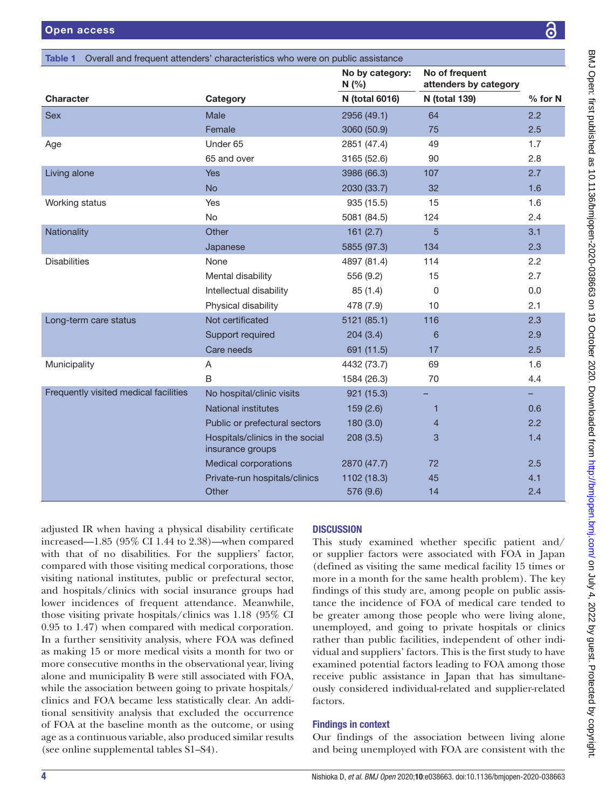<span id="page-3-0"></span>

| Table 1 Overall and frequent attenders' characteristics who were on public assistance |                                                     |                         |                      |           |  |  |  |  |  |
|---------------------------------------------------------------------------------------|-----------------------------------------------------|-------------------------|----------------------|-----------|--|--|--|--|--|
|                                                                                       |                                                     | No by category:<br>N(%) |                      |           |  |  |  |  |  |
| <b>Character</b>                                                                      | Category                                            | N (total 6016)          | <b>N</b> (total 139) | $%$ for N |  |  |  |  |  |
| <b>Sex</b>                                                                            | Male                                                | 2956 (49.1)             | 64                   | 2.2       |  |  |  |  |  |
|                                                                                       | Female                                              | 3060 (50.9)             | 75                   | 2.5       |  |  |  |  |  |
| Age                                                                                   | Under 65                                            | 2851 (47.4)             | 49                   | 1.7       |  |  |  |  |  |
|                                                                                       | 65 and over                                         | 3165 (52.6)             | 90                   | 2.8       |  |  |  |  |  |
| Living alone                                                                          | <b>Yes</b>                                          | 3986 (66.3)             | 107                  | 2.7       |  |  |  |  |  |
|                                                                                       | <b>No</b>                                           | 2030 (33.7)             | 32                   | 1.6       |  |  |  |  |  |
| Working status                                                                        | <b>Yes</b>                                          | 935 (15.5)              | 15                   | 1.6       |  |  |  |  |  |
|                                                                                       | No                                                  | 5081 (84.5)             | 124                  | 2.4       |  |  |  |  |  |
| Nationality                                                                           | Other                                               | 161(2.7)                | 5                    | 3.1       |  |  |  |  |  |
|                                                                                       | Japanese                                            | 5855 (97.3)             | 134                  | 2.3       |  |  |  |  |  |
| <b>Disabilities</b>                                                                   | None                                                | 4897 (81.4)             | 114                  | 2.2       |  |  |  |  |  |
|                                                                                       | Mental disability                                   | 556 (9.2)               | 15                   | 2.7       |  |  |  |  |  |
|                                                                                       | Intellectual disability                             | 85(1.4)                 | 0                    | 0.0       |  |  |  |  |  |
|                                                                                       | Physical disability                                 | 478 (7.9)               | 10                   | 2.1       |  |  |  |  |  |
| Long-term care status                                                                 | Not certificated                                    | 5121 (85.1)             | 116                  | 2.3       |  |  |  |  |  |
|                                                                                       | Support required                                    | 204(3.4)                | 6                    | 2.9       |  |  |  |  |  |
|                                                                                       | Care needs                                          | 691 (11.5)              | 17                   | 2.5       |  |  |  |  |  |
| Municipality                                                                          | A                                                   | 4432 (73.7)             | 69                   | 1.6       |  |  |  |  |  |
|                                                                                       | B                                                   | 1584 (26.3)             | 70                   | 4.4       |  |  |  |  |  |
| Frequently visited medical facilities                                                 | No hospital/clinic visits                           | 921 (15.3)              |                      |           |  |  |  |  |  |
|                                                                                       | <b>National institutes</b>                          | 159(2.6)                | 1                    | 0.6       |  |  |  |  |  |
|                                                                                       | Public or prefectural sectors                       | 180(3.0)                | $\overline{4}$       | 2.2       |  |  |  |  |  |
|                                                                                       | Hospitals/clinics in the social<br>insurance groups | 208(3.5)                | 3                    | 1.4       |  |  |  |  |  |
|                                                                                       | <b>Medical corporations</b>                         | 2870 (47.7)             | 72                   | 2.5       |  |  |  |  |  |
|                                                                                       | Private-run hospitals/clinics                       | 1102 (18.3)             | 45                   | 4.1       |  |  |  |  |  |
|                                                                                       | Other                                               | 576 (9.6)               | 14                   | 2.4       |  |  |  |  |  |

adjusted IR when having a physical disability certificate increased—1.85 (95% CI 1.44 to 2.38)—when compared with that of no disabilities. For the suppliers' factor, compared with those visiting medical corporations, those visiting national institutes, public or prefectural sector, and hospitals/clinics with social insurance groups had lower incidences of frequent attendance. Meanwhile, those visiting private hospitals/clinics was 1.18 (95% CI 0.95 to 1.47) when compared with medical corporation. In a further sensitivity analysis, where FOA was defined as making 15 or more medical visits a month for two or more consecutive months in the observational year, living alone and municipality B were still associated with FOA, while the association between going to private hospitals/ clinics and FOA became less statistically clear. An additional sensitivity analysis that excluded the occurrence of FOA at the baseline month as the outcome, or using age as a continuous variable, also produced similar results (see [online supplemental tables S1–S4](https://dx.doi.org/10.1136/bmjopen-2020-038663)).

#### **DISCUSSION**

This study examined whether specific patient and/ or supplier factors were associated with FOA in Japan (defined as visiting the same medical facility 15 times or more in a month for the same health problem). The key findings of this study are, among people on public assistance the incidence of FOA of medical care tended to be greater among those people who were living alone, unemployed, and going to private hospitals or clinics rather than public facilities, independent of other individual and suppliers' factors. This is the first study to have examined potential factors leading to FOA among those receive public assistance in Japan that has simultaneously considered individual-related and supplier-related factors.

#### Findings in context

Our findings of the association between living alone and being unemployed with FOA are consistent with the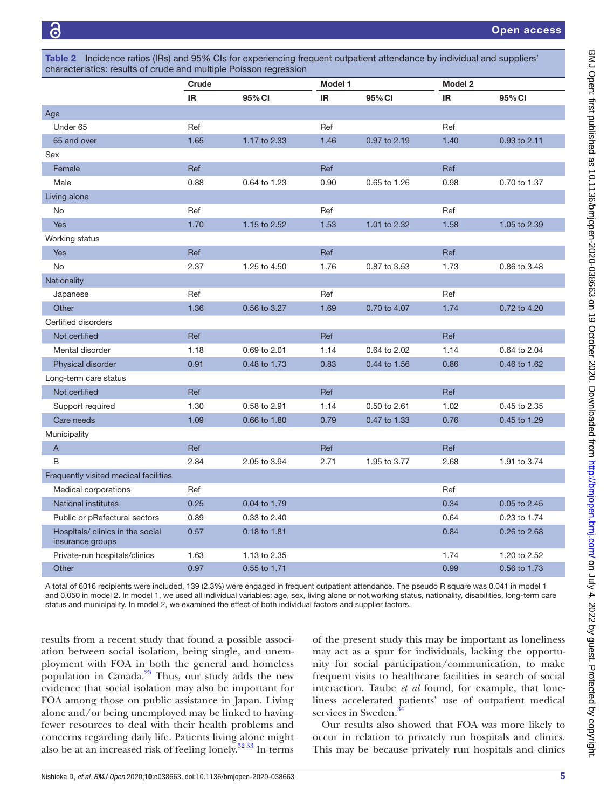<span id="page-4-0"></span>

| moldonoo ranoo (into) and oo /o Olo for oxpononong noqdom odpanom attondantoo by marriadal and odppiloto<br>characteristics: results of crude and multiple Poisson regression |           |              |         |              |           |              |  |  |  |
|-------------------------------------------------------------------------------------------------------------------------------------------------------------------------------|-----------|--------------|---------|--------------|-----------|--------------|--|--|--|
|                                                                                                                                                                               | Crude     |              | Model 1 |              | Model 2   |              |  |  |  |
|                                                                                                                                                                               | <b>IR</b> | 95% CI       | IR      | 95% CI       | <b>IR</b> | 95% CI       |  |  |  |
| Age                                                                                                                                                                           |           |              |         |              |           |              |  |  |  |
| Under 65                                                                                                                                                                      | Ref       |              | Ref     |              | Ref       |              |  |  |  |
| 65 and over                                                                                                                                                                   | 1.65      | 1.17 to 2.33 | 1.46    | 0.97 to 2.19 | 1.40      | 0.93 to 2.11 |  |  |  |
| Sex                                                                                                                                                                           |           |              |         |              |           |              |  |  |  |
| Female                                                                                                                                                                        | Ref       |              | Ref     |              | Ref       |              |  |  |  |
| Male                                                                                                                                                                          | 0.88      | 0.64 to 1.23 | 0.90    | 0.65 to 1.26 | 0.98      | 0.70 to 1.37 |  |  |  |
| Living alone                                                                                                                                                                  |           |              |         |              |           |              |  |  |  |
| <b>No</b>                                                                                                                                                                     | Ref       |              | Ref     |              | Ref       |              |  |  |  |
| <b>Yes</b>                                                                                                                                                                    | 1.70      | 1.15 to 2.52 | 1.53    | 1.01 to 2.32 | 1.58      | 1.05 to 2.39 |  |  |  |
| Working status                                                                                                                                                                |           |              |         |              |           |              |  |  |  |
| <b>Yes</b>                                                                                                                                                                    | Ref       |              | Ref     |              | Ref       |              |  |  |  |
| No                                                                                                                                                                            | 2.37      | 1.25 to 4.50 | 1.76    | 0.87 to 3.53 | 1.73      | 0.86 to 3.48 |  |  |  |
| Nationality                                                                                                                                                                   |           |              |         |              |           |              |  |  |  |
| Japanese                                                                                                                                                                      | Ref       |              | Ref     |              | Ref       |              |  |  |  |
| Other                                                                                                                                                                         | 1.36      | 0.56 to 3.27 | 1.69    | 0.70 to 4.07 | 1.74      | 0.72 to 4.20 |  |  |  |
| Certified disorders                                                                                                                                                           |           |              |         |              |           |              |  |  |  |
| Not certified                                                                                                                                                                 | Ref       |              | Ref     |              | Ref       |              |  |  |  |
| Mental disorder                                                                                                                                                               | 1.18      | 0.69 to 2.01 | 1.14    | 0.64 to 2.02 | 1.14      | 0.64 to 2.04 |  |  |  |
| Physical disorder                                                                                                                                                             | 0.91      | 0.48 to 1.73 | 0.83    | 0.44 to 1.56 | 0.86      | 0.46 to 1.62 |  |  |  |
| Long-term care status                                                                                                                                                         |           |              |         |              |           |              |  |  |  |
| Not certified                                                                                                                                                                 | Ref       |              | Ref     |              | Ref       |              |  |  |  |
| Support required                                                                                                                                                              | 1.30      | 0.58 to 2.91 | 1.14    | 0.50 to 2.61 | 1.02      | 0.45 to 2.35 |  |  |  |
| Care needs                                                                                                                                                                    | 1.09      | 0.66 to 1.80 | 0.79    | 0.47 to 1.33 | 0.76      | 0.45 to 1.29 |  |  |  |
| Municipality                                                                                                                                                                  |           |              |         |              |           |              |  |  |  |
| A                                                                                                                                                                             | Ref       |              | Ref     |              | Ref       |              |  |  |  |
| В                                                                                                                                                                             | 2.84      | 2.05 to 3.94 | 2.71    | 1.95 to 3.77 | 2.68      | 1.91 to 3.74 |  |  |  |
| Frequently visited medical facilities                                                                                                                                         |           |              |         |              |           |              |  |  |  |
| Medical corporations                                                                                                                                                          | Ref       |              |         |              | Ref       |              |  |  |  |
| <b>National institutes</b>                                                                                                                                                    | 0.25      | 0.04 to 1.79 |         |              | 0.34      | 0.05 to 2.45 |  |  |  |
| Public or pRefectural sectors                                                                                                                                                 | 0.89      | 0.33 to 2.40 |         |              | 0.64      | 0.23 to 1.74 |  |  |  |
| Hospitals/ clinics in the social<br>insurance groups                                                                                                                          | 0.57      | 0.18 to 1.81 |         |              | 0.84      | 0.26 to 2.68 |  |  |  |
| Private-run hospitals/clinics                                                                                                                                                 | 1.63      | 1.13 to 2.35 |         |              | 1.74      | 1.20 to 2.52 |  |  |  |
| Other                                                                                                                                                                         | 0.97      | 0.55 to 1.71 |         |              | 0.99      | 0.56 to 1.73 |  |  |  |

Table 2 Incidence ratios (IRs) and 95% CIs for experiencing frequent outpatient attendance by individual and suppliers'

A total of 6016 recipients were included, 139 (2.3%) were engaged in frequent outpatient attendance. The pseudo R square was 0.041 in model 1 and 0.050 in model 2. In model 1, we used all individual variables: age, sex, living alone or not,working status, nationality, disabilities, long-term care status and municipality. In model 2, we examined the effect of both individual factors and supplier factors.

results from a recent study that found a possible association between social isolation, being single, and unemployment with FOA in both the general and homeless population in Canada. $^{23}$  Thus, our study adds the new evidence that social isolation may also be important for FOA among those on public assistance in Japan. Living alone and/or being unemployed may be linked to having fewer resources to deal with their health problems and concerns regarding daily life. Patients living alone might also be at an increased risk of feeling lonely[.32 33](#page-6-10) In terms

of the present study this may be important as loneliness may act as a spur for individuals, lacking the opportunity for social participation/communication, to make frequent visits to healthcare facilities in search of social interaction. Taube *et al* found, for example, that loneliness accelerated patients' use of outpatient medical services in Sweden.<sup>3</sup>

Our results also showed that FOA was more likely to occur in relation to privately run hospitals and clinics. This may be because privately run hospitals and clinics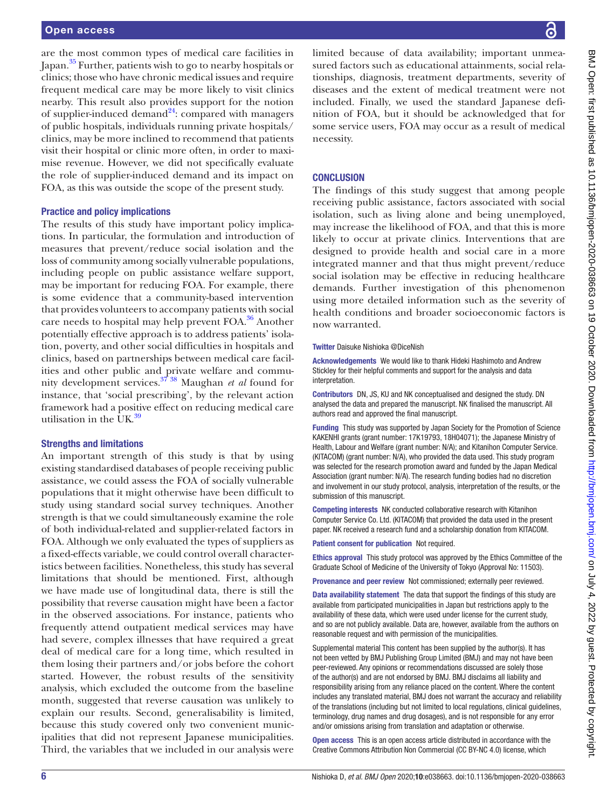are the most common types of medical care facilities in Japan.[35](#page-6-12) Further, patients wish to go to nearby hospitals or clinics; those who have chronic medical issues and require frequent medical care may be more likely to visit clinics nearby. This result also provides support for the notion of supplier-induced demand $^{24}$ : compared with managers of public hospitals, individuals running private hospitals/ clinics, may be more inclined to recommend that patients visit their hospital or clinic more often, in order to maximise revenue. However, we did not specifically evaluate the role of supplier-induced demand and its impact on FOA, as this was outside the scope of the present study.

#### Practice and policy implications

The results of this study have important policy implications. In particular, the formulation and introduction of measures that prevent/reduce social isolation and the loss of community among socially vulnerable populations, including people on public assistance welfare support, may be important for reducing FOA. For example, there is some evidence that a community-based intervention that provides volunteers to accompany patients with social care needs to hospital may help prevent FOA.<sup>36</sup> Another potentially effective approach is to address patients' isolation, poverty, and other social difficulties in hospitals and clinics, based on partnerships between medical care facilities and other public and private welfare and community development services[.37 38](#page-6-14) Maughan *et al* found for instance, that 'social prescribing', by the relevant action framework had a positive effect on reducing medical care utilisation in the UK. $39$ 

#### Strengths and limitations

An important strength of this study is that by using existing standardised databases of people receiving public assistance, we could assess the FOA of socially vulnerable populations that it might otherwise have been difficult to study using standard social survey techniques. Another strength is that we could simultaneously examine the role of both individual-related and supplier-related factors in FOA. Although we only evaluated the types of suppliers as a fixed-effects variable, we could control overall characteristics between facilities. Nonetheless, this study has several limitations that should be mentioned. First, although we have made use of longitudinal data, there is still the possibility that reverse causation might have been a factor in the observed associations. For instance, patients who frequently attend outpatient medical services may have had severe, complex illnesses that have required a great deal of medical care for a long time, which resulted in them losing their partners and/or jobs before the cohort started. However, the robust results of the sensitivity analysis, which excluded the outcome from the baseline month, suggested that reverse causation was unlikely to explain our results. Second, generalisability is limited, because this study covered only two convenient municipalities that did not represent Japanese municipalities. Third, the variables that we included in our analysis were

limited because of data availability; important unmeasured factors such as educational attainments, social relationships, diagnosis, treatment departments, severity of diseases and the extent of medical treatment were not included. Finally, we used the standard Japanese definition of FOA, but it should be acknowledged that for some service users, FOA may occur as a result of medical necessity.

#### **CONCLUSION**

The findings of this study suggest that among people receiving public assistance, factors associated with social isolation, such as living alone and being unemployed, may increase the likelihood of FOA, and that this is more likely to occur at private clinics. Interventions that are designed to provide health and social care in a more integrated manner and that thus might prevent/reduce social isolation may be effective in reducing healthcare demands. Further investigation of this phenomenon using more detailed information such as the severity of health conditions and broader socioeconomic factors is now warranted.

#### Twitter Daisuke Nishioka [@DiceNish](https://twitter.com/DiceNish)

Acknowledgements We would like to thank Hideki Hashimoto and Andrew Stickley for their helpful comments and support for the analysis and data interpretation.

Contributors DN, JS, KU and NK conceptualised and designed the study. DN analysed the data and prepared the manuscript. NK finalised the manuscript. All authors read and approved the final manuscript.

Funding This study was supported by Japan Society for the Promotion of Science KAKENHI grants (grant number: 17K19793, 18H04071); the Japanese Ministry of Health, Labour and Welfare (grant number: N/A); and Kitanihon Computer Service. (KITACOM) (grant number: N/A), who provided the data used. This study program was selected for the research promotion award and funded by the Japan Medical Association (grant number: N/A). The research funding bodies had no discretion and involvement in our study protocol, analysis, interpretation of the results, or the submission of this manuscript.

Competing interests NK conducted collaborative research with Kitanihon Computer Service Co. Ltd. (KITACOM) that provided the data used in the present paper. NK received a research fund and a scholarship donation from KITACOM.

Patient consent for publication Not required.

Ethics approval This study protocol was approved by the Ethics Committee of the Graduate School of Medicine of the University of Tokyo (Approval No: 11503).

Provenance and peer review Not commissioned; externally peer reviewed.

Data availability statement The data that support the findings of this study are available from participated municipalities in Japan but restrictions apply to the availability of these data, which were used under license for the current study, and so are not publicly available. Data are, however, available from the authors on reasonable request and with permission of the municipalities.

Supplemental material This content has been supplied by the author(s). It has not been vetted by BMJ Publishing Group Limited (BMJ) and may not have been peer-reviewed. Any opinions or recommendations discussed are solely those of the author(s) and are not endorsed by BMJ. BMJ disclaims all liability and responsibility arising from any reliance placed on the content. Where the content includes any translated material, BMJ does not warrant the accuracy and reliability of the translations (including but not limited to local regulations, clinical guidelines, terminology, drug names and drug dosages), and is not responsible for any error and/or omissions arising from translation and adaptation or otherwise.

Open access This is an open access article distributed in accordance with the Creative Commons Attribution Non Commercial (CC BY-NC 4.0) license, which